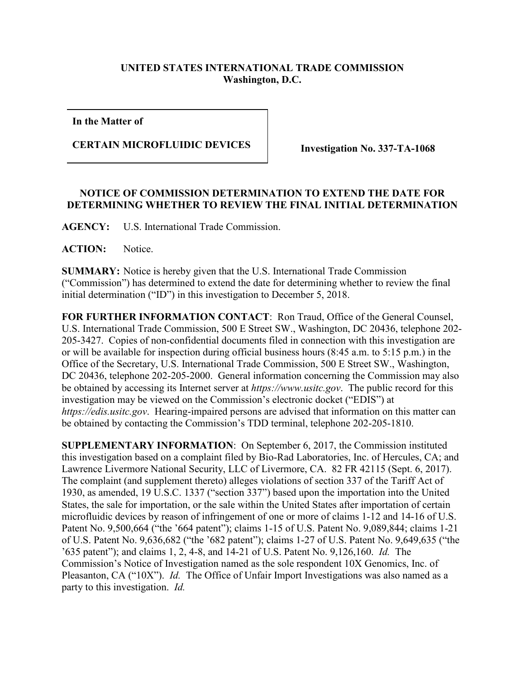## **UNITED STATES INTERNATIONAL TRADE COMMISSION Washington, D.C.**

**In the Matter of**

## **CERTAIN MICROFLUIDIC DEVICES Investigation No. 337-TA-1068**

## **NOTICE OF COMMISSION DETERMINATION TO EXTEND THE DATE FOR DETERMINING WHETHER TO REVIEW THE FINAL INITIAL DETERMINATION**

**AGENCY:** U.S. International Trade Commission.

**ACTION:** Notice.

**SUMMARY:** Notice is hereby given that the U.S. International Trade Commission ("Commission") has determined to extend the date for determining whether to review the final initial determination ("ID") in this investigation to December 5, 2018.

**FOR FURTHER INFORMATION CONTACT**: Ron Traud, Office of the General Counsel, U.S. International Trade Commission, 500 E Street SW., Washington, DC 20436, telephone 202- 205-3427. Copies of non-confidential documents filed in connection with this investigation are or will be available for inspection during official business hours (8:45 a.m. to 5:15 p.m.) in the Office of the Secretary, U.S. International Trade Commission, 500 E Street SW., Washington, DC 20436, telephone 202-205-2000. General information concerning the Commission may also be obtained by accessing its Internet server at *https://www.usitc.gov*. The public record for this investigation may be viewed on the Commission's electronic docket ("EDIS") at *https://edis.usitc.gov*. Hearing-impaired persons are advised that information on this matter can be obtained by contacting the Commission's TDD terminal, telephone 202-205-1810.

**SUPPLEMENTARY INFORMATION**: On September 6, 2017, the Commission instituted this investigation based on a complaint filed by Bio-Rad Laboratories, Inc. of Hercules, CA; and Lawrence Livermore National Security, LLC of Livermore, CA. 82 FR 42115 (Sept. 6, 2017). The complaint (and supplement thereto) alleges violations of section 337 of the Tariff Act of 1930, as amended, 19 U.S.C. 1337 ("section 337") based upon the importation into the United States, the sale for importation, or the sale within the United States after importation of certain microfluidic devices by reason of infringement of one or more of claims 1-12 and 14-16 of U.S. Patent No. 9,500,664 ("the '664 patent"); claims 1-15 of U.S. Patent No. 9,089,844; claims 1-21 of U.S. Patent No. 9,636,682 ("the '682 patent"); claims 1-27 of U.S. Patent No. 9,649,635 ("the '635 patent"); and claims 1, 2, 4-8, and 14-21 of U.S. Patent No. 9,126,160. *Id.* The Commission's Notice of Investigation named as the sole respondent 10X Genomics, Inc. of Pleasanton, CA ("10X"). *Id.* The Office of Unfair Import Investigations was also named as a party to this investigation. *Id.*